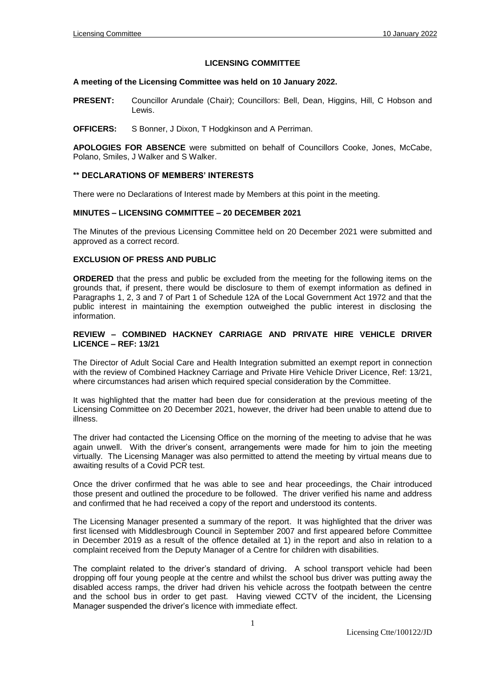# **LICENSING COMMITTEE**

### **A meeting of the Licensing Committee was held on 10 January 2022.**

- PRESENT: Councillor Arundale (Chair); Councillors: Bell, Dean, Higgins, Hill, C Hobson and Lewis.
- **OFFICERS:** S Bonner, J Dixon, T Hodgkinson and A Perriman.

**APOLOGIES FOR ABSENCE** were submitted on behalf of Councillors Cooke, Jones, McCabe, Polano, Smiles, J Walker and S Walker.

### **\*\* DECLARATIONS OF MEMBERS' INTERESTS**

There were no Declarations of Interest made by Members at this point in the meeting.

### **MINUTES – LICENSING COMMITTEE – 20 DECEMBER 2021**

The Minutes of the previous Licensing Committee held on 20 December 2021 were submitted and approved as a correct record.

### **EXCLUSION OF PRESS AND PUBLIC**

**ORDERED** that the press and public be excluded from the meeting for the following items on the grounds that, if present, there would be disclosure to them of exempt information as defined in Paragraphs 1, 2, 3 and 7 of Part 1 of Schedule 12A of the Local Government Act 1972 and that the public interest in maintaining the exemption outweighed the public interest in disclosing the information.

# **REVIEW – COMBINED HACKNEY CARRIAGE AND PRIVATE HIRE VEHICLE DRIVER LICENCE – REF: 13/21**

The Director of Adult Social Care and Health Integration submitted an exempt report in connection with the review of Combined Hackney Carriage and Private Hire Vehicle Driver Licence, Ref: 13/21, where circumstances had arisen which required special consideration by the Committee.

It was highlighted that the matter had been due for consideration at the previous meeting of the Licensing Committee on 20 December 2021, however, the driver had been unable to attend due to illness.

The driver had contacted the Licensing Office on the morning of the meeting to advise that he was again unwell. With the driver's consent, arrangements were made for him to join the meeting virtually. The Licensing Manager was also permitted to attend the meeting by virtual means due to awaiting results of a Covid PCR test.

Once the driver confirmed that he was able to see and hear proceedings, the Chair introduced those present and outlined the procedure to be followed. The driver verified his name and address and confirmed that he had received a copy of the report and understood its contents.

The Licensing Manager presented a summary of the report. It was highlighted that the driver was first licensed with Middlesbrough Council in September 2007 and first appeared before Committee in December 2019 as a result of the offence detailed at 1) in the report and also in relation to a complaint received from the Deputy Manager of a Centre for children with disabilities.

The complaint related to the driver's standard of driving. A school transport vehicle had been dropping off four young people at the centre and whilst the school bus driver was putting away the disabled access ramps, the driver had driven his vehicle across the footpath between the centre and the school bus in order to get past. Having viewed CCTV of the incident, the Licensing Manager suspended the driver's licence with immediate effect.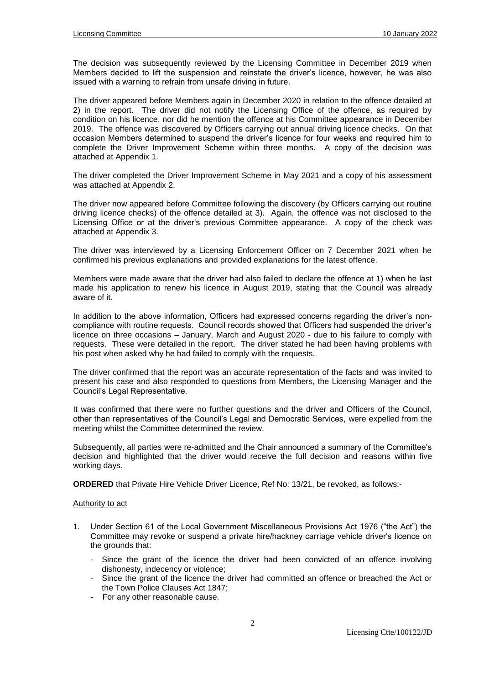The decision was subsequently reviewed by the Licensing Committee in December 2019 when Members decided to lift the suspension and reinstate the driver's licence, however, he was also issued with a warning to refrain from unsafe driving in future.

The driver appeared before Members again in December 2020 in relation to the offence detailed at 2) in the report. The driver did not notify the Licensing Office of the offence, as required by condition on his licence, nor did he mention the offence at his Committee appearance in December 2019. The offence was discovered by Officers carrying out annual driving licence checks. On that occasion Members determined to suspend the driver's licence for four weeks and required him to complete the Driver Improvement Scheme within three months. A copy of the decision was attached at Appendix 1.

The driver completed the Driver Improvement Scheme in May 2021 and a copy of his assessment was attached at Appendix 2.

The driver now appeared before Committee following the discovery (by Officers carrying out routine driving licence checks) of the offence detailed at 3). Again, the offence was not disclosed to the Licensing Office or at the driver's previous Committee appearance. A copy of the check was attached at Appendix 3.

The driver was interviewed by a Licensing Enforcement Officer on 7 December 2021 when he confirmed his previous explanations and provided explanations for the latest offence.

Members were made aware that the driver had also failed to declare the offence at 1) when he last made his application to renew his licence in August 2019, stating that the Council was already aware of it.

In addition to the above information, Officers had expressed concerns regarding the driver's noncompliance with routine requests. Council records showed that Officers had suspended the driver's licence on three occasions – January, March and August 2020 - due to his failure to comply with requests. These were detailed in the report. The driver stated he had been having problems with his post when asked why he had failed to comply with the requests.

The driver confirmed that the report was an accurate representation of the facts and was invited to present his case and also responded to questions from Members, the Licensing Manager and the Council's Legal Representative.

It was confirmed that there were no further questions and the driver and Officers of the Council, other than representatives of the Council's Legal and Democratic Services, were expelled from the meeting whilst the Committee determined the review.

Subsequently, all parties were re-admitted and the Chair announced a summary of the Committee's decision and highlighted that the driver would receive the full decision and reasons within five working days.

**ORDERED** that Private Hire Vehicle Driver Licence, Ref No: 13/21, be revoked, as follows:-

### Authority to act

- 1. Under Section 61 of the Local Government Miscellaneous Provisions Act 1976 ("the Act") the Committee may revoke or suspend a private hire/hackney carriage vehicle driver's licence on the grounds that:
	- Since the grant of the licence the driver had been convicted of an offence involving dishonesty, indecency or violence;
	- Since the grant of the licence the driver had committed an offence or breached the Act or the Town Police Clauses Act 1847;
	- For any other reasonable cause.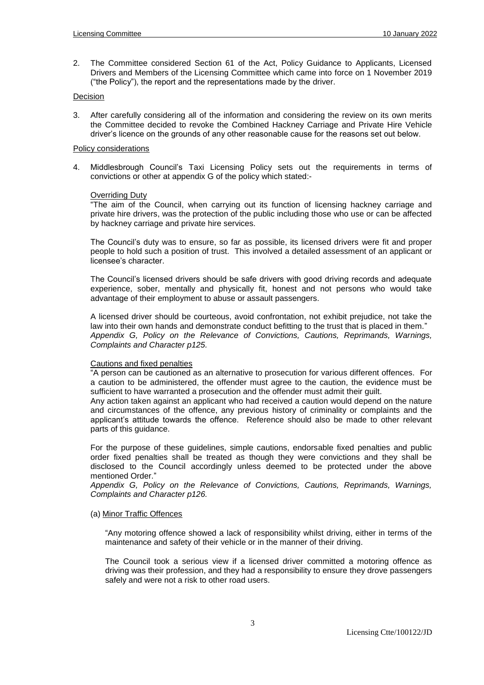2. The Committee considered Section 61 of the Act, Policy Guidance to Applicants, Licensed Drivers and Members of the Licensing Committee which came into force on 1 November 2019 ("the Policy"), the report and the representations made by the driver.

# Decision

3. After carefully considering all of the information and considering the review on its own merits the Committee decided to revoke the Combined Hackney Carriage and Private Hire Vehicle driver's licence on the grounds of any other reasonable cause for the reasons set out below.

### Policy considerations

4. Middlesbrough Council's Taxi Licensing Policy sets out the requirements in terms of convictions or other at appendix G of the policy which stated:-

### **Overriding Duty**

"The aim of the Council, when carrying out its function of licensing hackney carriage and private hire drivers, was the protection of the public including those who use or can be affected by hackney carriage and private hire services.

The Council's duty was to ensure, so far as possible, its licensed drivers were fit and proper people to hold such a position of trust. This involved a detailed assessment of an applicant or licensee's character.

The Council's licensed drivers should be safe drivers with good driving records and adequate experience, sober, mentally and physically fit, honest and not persons who would take advantage of their employment to abuse or assault passengers.

A licensed driver should be courteous, avoid confrontation, not exhibit prejudice, not take the law into their own hands and demonstrate conduct befitting to the trust that is placed in them." *Appendix G, Policy on the Relevance of Convictions, Cautions, Reprimands, Warnings, Complaints and Character p125.*

### Cautions and fixed penalties

"A person can be cautioned as an alternative to prosecution for various different offences. For a caution to be administered, the offender must agree to the caution, the evidence must be sufficient to have warranted a prosecution and the offender must admit their guilt.

Any action taken against an applicant who had received a caution would depend on the nature and circumstances of the offence, any previous history of criminality or complaints and the applicant's attitude towards the offence. Reference should also be made to other relevant parts of this guidance.

For the purpose of these guidelines, simple cautions, endorsable fixed penalties and public order fixed penalties shall be treated as though they were convictions and they shall be disclosed to the Council accordingly unless deemed to be protected under the above mentioned Order."

*Appendix G, Policy on the Relevance of Convictions, Cautions, Reprimands, Warnings, Complaints and Character p126.*

### (a) Minor Traffic Offences

"Any motoring offence showed a lack of responsibility whilst driving, either in terms of the maintenance and safety of their vehicle or in the manner of their driving.

The Council took a serious view if a licensed driver committed a motoring offence as driving was their profession, and they had a responsibility to ensure they drove passengers safely and were not a risk to other road users.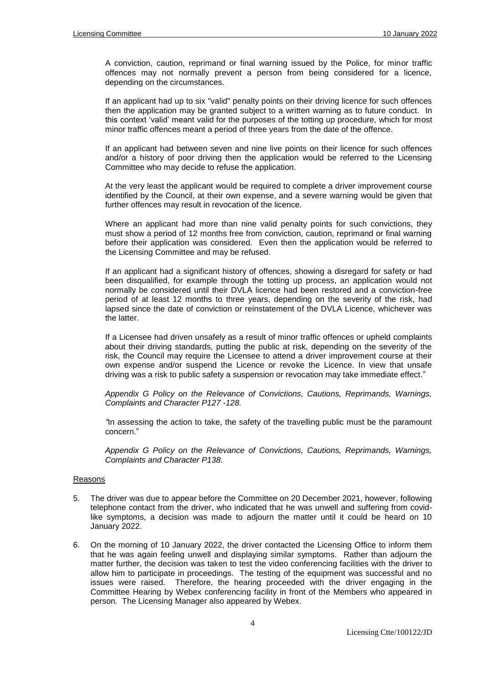A conviction, caution, reprimand or final warning issued by the Police, for minor traffic offences may not normally prevent a person from being considered for a licence, depending on the circumstances.

If an applicant had up to six "valid" penalty points on their driving licence for such offences then the application may be granted subject to a written warning as to future conduct. In this context 'valid' meant valid for the purposes of the totting up procedure, which for most minor traffic offences meant a period of three years from the date of the offence.

If an applicant had between seven and nine live points on their licence for such offences and/or a history of poor driving then the application would be referred to the Licensing Committee who may decide to refuse the application.

At the very least the applicant would be required to complete a driver improvement course identified by the Council, at their own expense, and a severe warning would be given that further offences may result in revocation of the licence.

Where an applicant had more than nine valid penalty points for such convictions, they must show a period of 12 months free from conviction, caution, reprimand or final warning before their application was considered. Even then the application would be referred to the Licensing Committee and may be refused.

If an applicant had a significant history of offences, showing a disregard for safety or had been disqualified, for example through the totting up process, an application would not normally be considered until their DVLA licence had been restored and a conviction-free period of at least 12 months to three years, depending on the severity of the risk, had lapsed since the date of conviction or reinstatement of the DVLA Licence, whichever was the latter.

If a Licensee had driven unsafely as a result of minor traffic offences or upheld complaints about their driving standards, putting the public at risk, depending on the severity of the risk, the Council may require the Licensee to attend a driver improvement course at their own expense and/or suspend the Licence or revoke the Licence. In view that unsafe driving was a risk to public safety a suspension or revocation may take immediate effect."

*Appendix G Policy on the Relevance of Convictions, Cautions, Reprimands, Warnings, Complaints and Character P127 -128.*

*"*In assessing the action to take, the safety of the travelling public must be the paramount concern."

*Appendix G Policy on the Relevance of Convictions, Cautions, Reprimands, Warnings, Complaints and Character P138.*

# Reasons

- 5. The driver was due to appear before the Committee on 20 December 2021, however, following telephone contact from the driver, who indicated that he was unwell and suffering from covidlike symptoms, a decision was made to adjourn the matter until it could be heard on 10 January 2022.
- 6. On the morning of 10 January 2022, the driver contacted the Licensing Office to inform them that he was again feeling unwell and displaying similar symptoms. Rather than adjourn the matter further, the decision was taken to test the video conferencing facilities with the driver to allow him to participate in proceedings. The testing of the equipment was successful and no issues were raised. Therefore, the hearing proceeded with the driver engaging in the Committee Hearing by Webex conferencing facility in front of the Members who appeared in person. The Licensing Manager also appeared by Webex.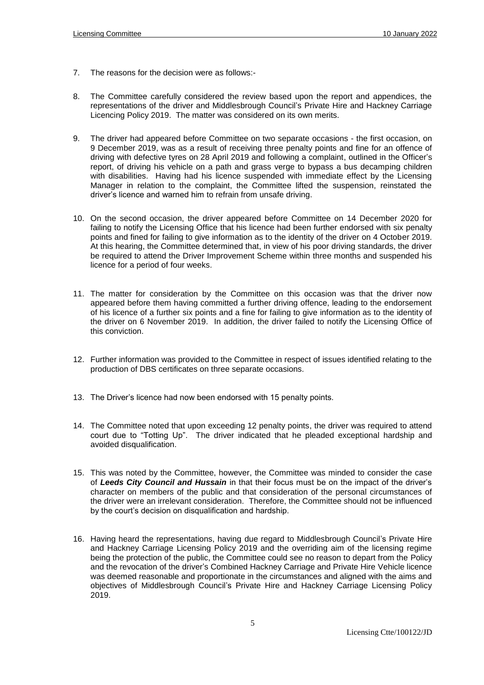- 7. The reasons for the decision were as follows:-
- 8. The Committee carefully considered the review based upon the report and appendices, the representations of the driver and Middlesbrough Council's Private Hire and Hackney Carriage Licencing Policy 2019. The matter was considered on its own merits.
- 9. The driver had appeared before Committee on two separate occasions the first occasion, on 9 December 2019, was as a result of receiving three penalty points and fine for an offence of driving with defective tyres on 28 April 2019 and following a complaint, outlined in the Officer's report, of driving his vehicle on a path and grass verge to bypass a bus decamping children with disabilities. Having had his licence suspended with immediate effect by the Licensing Manager in relation to the complaint, the Committee lifted the suspension, reinstated the driver's licence and warned him to refrain from unsafe driving.
- 10. On the second occasion, the driver appeared before Committee on 14 December 2020 for failing to notify the Licensing Office that his licence had been further endorsed with six penalty points and fined for failing to give information as to the identity of the driver on 4 October 2019. At this hearing, the Committee determined that, in view of his poor driving standards, the driver be required to attend the Driver Improvement Scheme within three months and suspended his licence for a period of four weeks.
- 11. The matter for consideration by the Committee on this occasion was that the driver now appeared before them having committed a further driving offence, leading to the endorsement of his licence of a further six points and a fine for failing to give information as to the identity of the driver on 6 November 2019. In addition, the driver failed to notify the Licensing Office of this conviction.
- 12. Further information was provided to the Committee in respect of issues identified relating to the production of DBS certificates on three separate occasions.
- 13. The Driver's licence had now been endorsed with 15 penalty points.
- 14. The Committee noted that upon exceeding 12 penalty points, the driver was required to attend court due to "Totting Up". The driver indicated that he pleaded exceptional hardship and avoided disqualification.
- 15. This was noted by the Committee, however, the Committee was minded to consider the case of *Leeds City Council and Hussain* in that their focus must be on the impact of the driver's character on members of the public and that consideration of the personal circumstances of the driver were an irrelevant consideration. Therefore, the Committee should not be influenced by the court's decision on disqualification and hardship.
- 16. Having heard the representations, having due regard to Middlesbrough Council's Private Hire and Hackney Carriage Licensing Policy 2019 and the overriding aim of the licensing regime being the protection of the public, the Committee could see no reason to depart from the Policy and the revocation of the driver's Combined Hackney Carriage and Private Hire Vehicle licence was deemed reasonable and proportionate in the circumstances and aligned with the aims and objectives of Middlesbrough Council's Private Hire and Hackney Carriage Licensing Policy 2019.